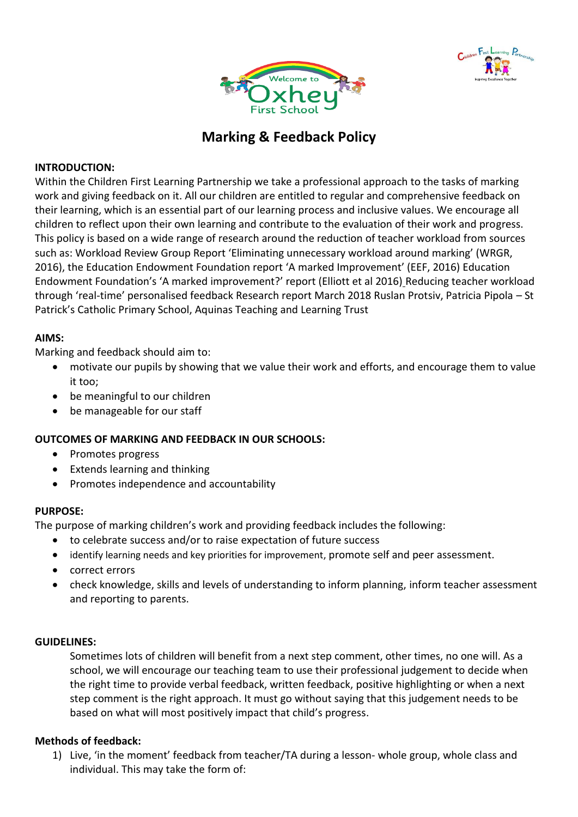



# **Marking & Feedback Policy**

## **INTRODUCTION:**

Within the Children First Learning Partnership we take a professional approach to the tasks of marking work and giving feedback on it. All our children are entitled to regular and comprehensive feedback on their learning, which is an essential part of our learning process and inclusive values. We encourage all children to reflect upon their own learning and contribute to the evaluation of their work and progress. This policy is based on a wide range of research around the reduction of teacher workload from sources such as: Workload Review Group Report 'Eliminating unnecessary workload around marking' (WRGR, 2016), the Education Endowment Foundation report 'A marked Improvement' (EEF, 2016) Education Endowment Foundation's 'A marked improvement?' report (Elliott et al 2016) Reducing teacher workload through 'real-time' personalised feedback Research report March 2018 Ruslan Protsiv, Patricia Pipola – St Patrick's Catholic Primary School, Aquinas Teaching and Learning Trust

# **AIMS:**

Marking and feedback should aim to:

- motivate our pupils by showing that we value their work and efforts, and encourage them to value it too;
- be meaningful to our children
- be manageable for our staff

# **OUTCOMES OF MARKING AND FEEDBACK IN OUR SCHOOLS:**

- Promotes progress
- Extends learning and thinking
- Promotes independence and accountability

#### **PURPOSE:**

The purpose of marking children's work and providing feedback includes the following:

- to celebrate success and/or to raise expectation of future success
- identify learning needs and key priorities for improvement, promote self and peer assessment.
- correct errors
- check knowledge, skills and levels of understanding to inform planning, inform teacher assessment and reporting to parents.

#### **GUIDELINES:**

Sometimes lots of children will benefit from a next step comment, other times, no one will. As a school, we will encourage our teaching team to use their professional judgement to decide when the right time to provide verbal feedback, written feedback, positive highlighting or when a next step comment is the right approach. It must go without saying that this judgement needs to be based on what will most positively impact that child's progress.

#### **Methods of feedback:**

1) Live, 'in the moment' feedback from teacher/TA during a lesson- whole group, whole class and individual. This may take the form of: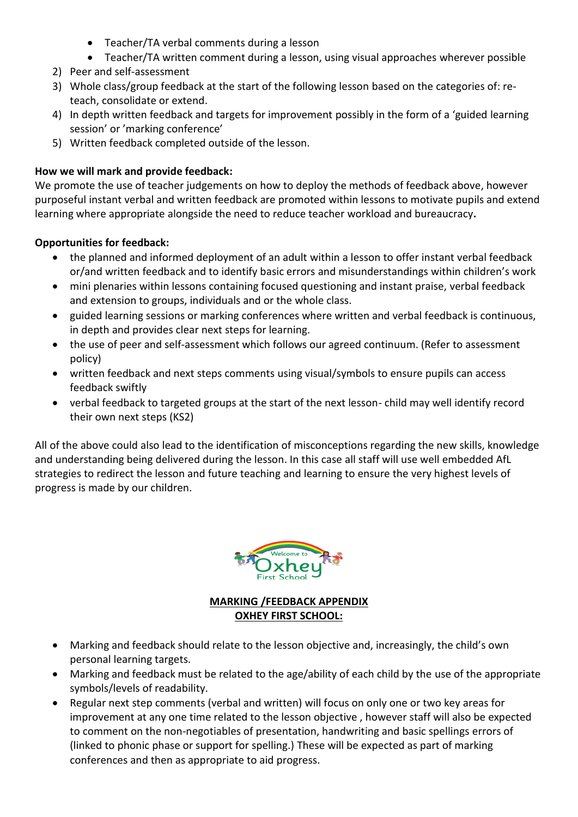- Teacher/TA verbal comments during a lesson
- Teacher/TA written comment during a lesson, using visual approaches wherever possible
- 2) Peer and self-assessment
- 3) Whole class/group feedback at the start of the following lesson based on the categories of: reteach, consolidate or extend.
- 4) In depth written feedback and targets for improvement possibly in the form of a 'guided learning session' or 'marking conference'
- 5) Written feedback completed outside of the lesson.

# **How we will mark and provide feedback:**

We promote the use of teacher judgements on how to deploy the methods of feedback above, however purposeful instant verbal and written feedback are promoted within lessons to motivate pupils and extend learning where appropriate alongside the need to reduce teacher workload and bureaucracy**.**

# **Opportunities for feedback:**

- the planned and informed deployment of an adult within a lesson to offer instant verbal feedback or/and written feedback and to identify basic errors and misunderstandings within children's work
- mini plenaries within lessons containing focused questioning and instant praise, verbal feedback and extension to groups, individuals and or the whole class.
- guided learning sessions or marking conferences where written and verbal feedback is continuous, in depth and provides clear next steps for learning.
- the use of peer and self-assessment which follows our agreed continuum. (Refer to assessment policy)
- written feedback and next steps comments using visual/symbols to ensure pupils can access feedback swiftly
- verbal feedback to targeted groups at the start of the next lesson- child may well identify record their own next steps (KS2)

All of the above could also lead to the identification of misconceptions regarding the new skills, knowledge and understanding being delivered during the lesson. In this case all staff will use well embedded AfL strategies to redirect the lesson and future teaching and learning to ensure the very highest levels of progress is made by our children.



# **MARKING /FEEDBACK APPENDIX OXHEY FIRST SCHOOL:**

- Marking and feedback should relate to the lesson objective and, increasingly, the child's own personal learning targets.
- Marking and feedback must be related to the age/ability of each child by the use of the appropriate symbols/levels of readability.
- Regular next step comments (verbal and written) will focus on only one or two key areas for improvement at any one time related to the lesson objective , however staff will also be expected to comment on the non-negotiables of presentation, handwriting and basic spellings errors of (linked to phonic phase or support for spelling.) These will be expected as part of marking conferences and then as appropriate to aid progress.